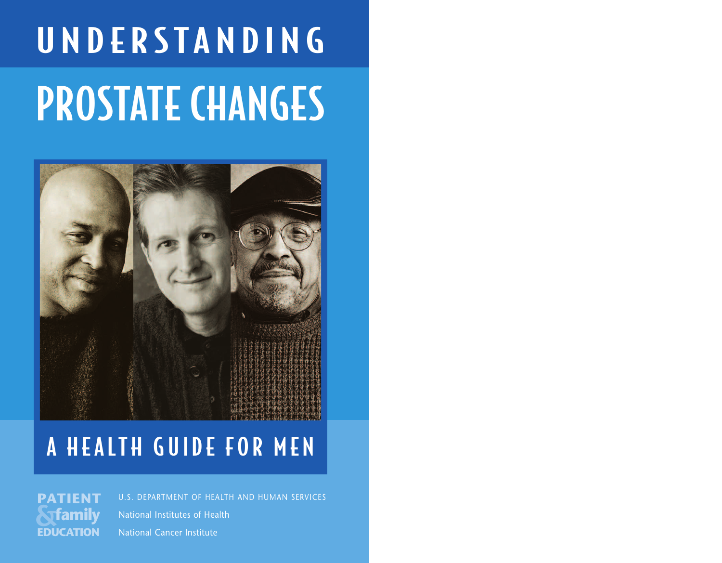# UNDERSTANDING PROSTATE CHANGES



# A HEALTH GUIDE FOR MEN

U.S. DEPARTMENT OF HEALTH AND HUMAN SERVICES National Institutes of Health National Cancer Institute **PATIENT family & EDUCATION**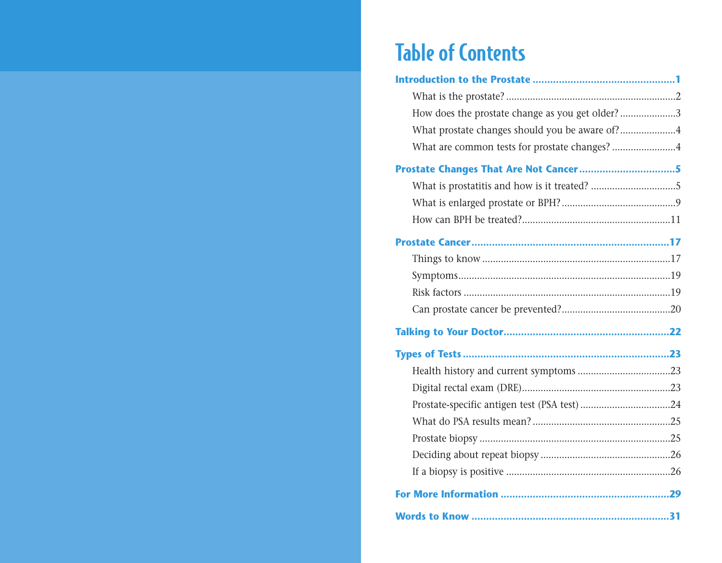# Table of Contents

| How does the prostate change as you get older?3 |
|-------------------------------------------------|
| What prostate changes should you be aware of?4  |
| What are common tests for prostate changes? 4   |
| Prostate Changes That Are Not Cancer5           |
|                                                 |
|                                                 |
|                                                 |
|                                                 |
|                                                 |
|                                                 |
|                                                 |
|                                                 |
|                                                 |
|                                                 |
|                                                 |
|                                                 |
|                                                 |
|                                                 |
|                                                 |
|                                                 |
|                                                 |
|                                                 |
|                                                 |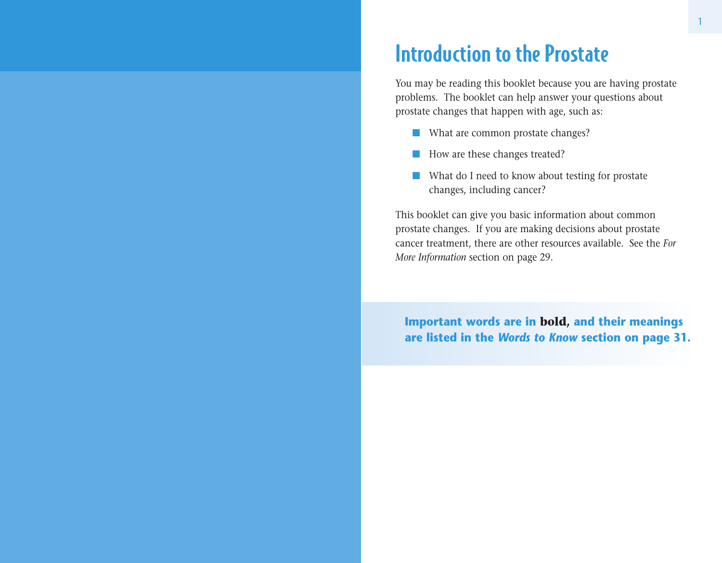# Introduction to the Prostate

You may be reading this booklet because you are having prostate problems. The booklet can help answer your questions about prostate changes that happen with age, such as:

- What are common prostate changes?
- How are these changes treated?
- What do I need to know about testing for prostate changes, including cancer?

This booklet can give you basic information about common prostate changes. If you are making decisions about prostate cancer treatment, there are other resources available. See the *For More Information* section on page 29.

**Important words are in bold, and their meanings are listed in the** *Words to Know* **section on page 31.**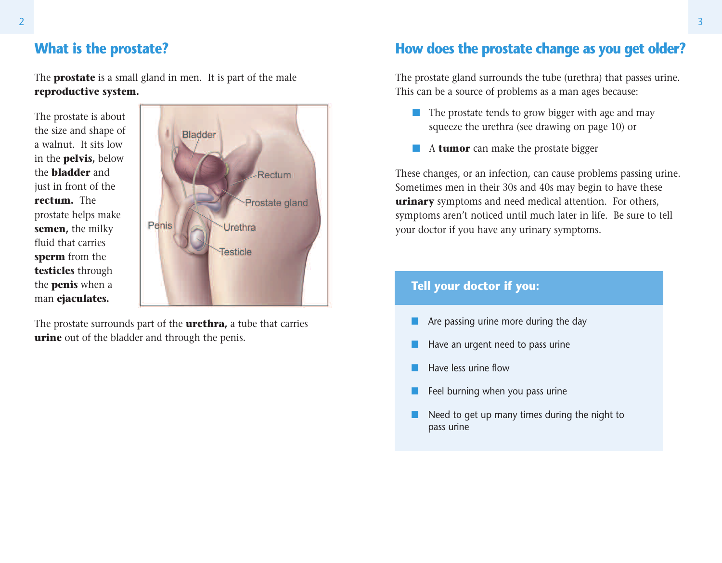### **What is the prostate?**

The **prostate** is a small gland in men. It is part of the male **reproductive system.** 

The prostate is about the size and shape of a walnut. It sits low in the **pelvis,** below the **bladder** and just in front of the **rectum.** The prostate helps make **semen,** the milky fluid that carries **sperm** from the **testicles** through the **penis** when a man **ejaculates.**



The prostate surrounds part of the **urethra,** a tube that carries **urine** out of the bladder and through the penis.

# **How does the prostate change as you get older?**

The prostate gland surrounds the tube (urethra) that passes urine. This can be a source of problems as a man ages because:

- The prostate tends to grow bigger with age and may squeeze the urethra (see drawing on page 10) or
- A **tumor** can make the prostate bigger

These changes, or an infection, can cause problems passing urine. Sometimes men in their 30s and 40s may begin to have these **urinary** symptoms and need medical attention. For others, symptoms aren't noticed until much later in life. Be sure to tell your doctor if you have any urinary symptoms.

#### **Tell your doctor if you:**

- Are passing urine more during the day
- Have an urgent need to pass urine
- Have less urine flow
- Feel burning when you pass urine
- Need to get up many times during the night to pass urine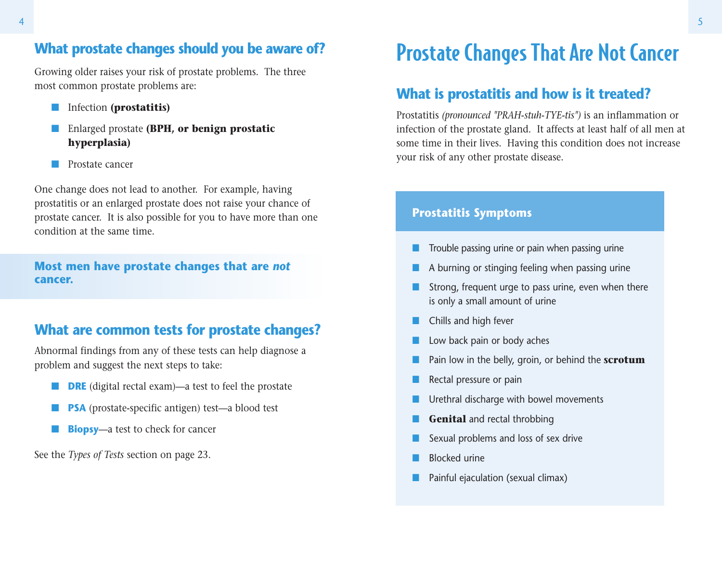# **What prostate changes should you be aware of?**

Growing older raises your risk of prostate problems. The three most common prostate problems are:

- Infection **(prostatitis)**
- Enlarged prostate **(BPH, or benign prostatic hyperplasia)**
- Prostate cancer

One change does not lead to another. For example, having prostatitis or an enlarged prostate does not raise your chance of prostate cancer. It is also possible for you to have more than one condition at the same time.

#### **Most men have prostate changes that are** *not* **cancer.**

### **What are common tests for prostate changes?**

Abnormal findings from any of these tests can help diagnose a problem and suggest the next steps to take:

- **DRE** (digital rectal exam)—a test to feel the prostate
- **PSA** (prostate-specific antigen) test—a blood test
- **Biopsy**—a test to check for cancer

See the *Types of Tests* section on page 23.

# Prostate Changes That Are Not Cancer

# **What is prostatitis and how is it treated?**

Prostatitis *(pronounced "PRAH-stuh-TYE-tis")* is an inflammation or infection of the prostate gland. It affects at least half of all men at some time in their lives. Having this condition does not increase your risk of any other prostate disease.

#### **Prostatitis Symptoms**

- Trouble passing urine or pain when passing urine
- A burning or stinging feeling when passing urine
- Strong, frequent urge to pass urine, even when there is only a small amount of urine
- Chills and high fever
- Low back pain or body aches
- Pain low in the belly, groin, or behind the **scrotum**
- Rectal pressure or pain
- Urethral discharge with bowel movements
- **Genital** and rectal throbbing
- Sexual problems and loss of sex drive
- **Blocked urine**
- Painful ejaculation (sexual climax)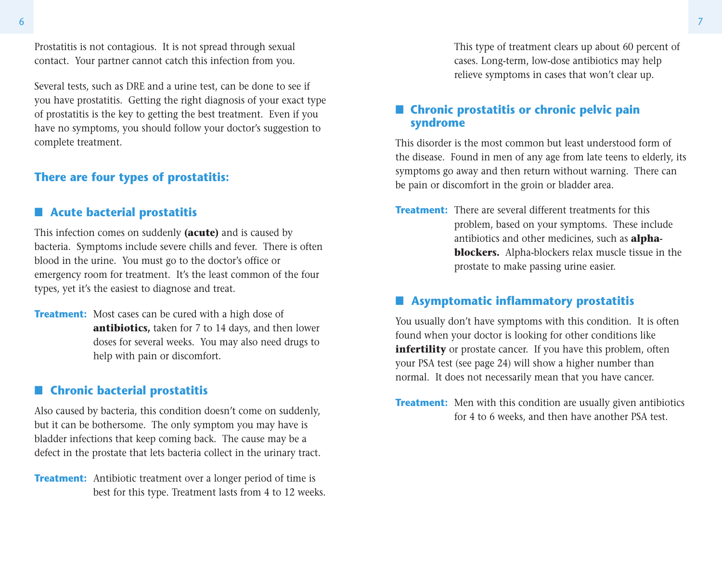Prostatitis is not contagious. It is not spread through sexual contact. Your partner cannot catch this infection from you.

Several tests, such as DRE and a urine test, can be done to see if you have prostatitis. Getting the right diagnosis of your exact type of prostatitis is the key to getting the best treatment. Even if you have no symptoms, you should follow your doctor's suggestion to complete treatment.

#### **There are four types of prostatitis:**

#### ■ **Acute bacterial prostatitis**

This infection comes on suddenly **(acute)** and is caused by bacteria. Symptoms include severe chills and fever. There is often blood in the urine. You must go to the doctor's office or emergency room for treatment. It's the least common of the four types, yet it's the easiest to diagnose and treat.

**Treatment:** Most cases can be cured with a high dose of **antibiotics,** taken for 7 to 14 days, and then lower doses for several weeks. You may also need drugs to help with pain or discomfort.

#### ■ **Chronic bacterial prostatitis**

Also caused by bacteria, this condition doesn't come on suddenly, but it can be bothersome. The only symptom you may have is bladder infections that keep coming back. The cause may be a defect in the prostate that lets bacteria collect in the urinary tract.

**Treatment:** Antibiotic treatment over a longer period of time is best for this type. Treatment lasts from 4 to 12 weeks. This type of treatment clears up about 60 percent of cases. Long-term, low-dose antibiotics may help relieve symptoms in cases that won't clear up.

#### ■ **Chronic prostatitis or chronic pelvic pain syndrome**

This disorder is the most common but least understood form of the disease. Found in men of any age from late teens to elderly, its symptoms go away and then return without warning. There can be pain or discomfort in the groin or bladder area.

**Treatment:** There are several different treatments for this problem, based on your symptoms. These include antibiotics and other medicines, such as **alphablockers.** Alpha-blockers relax muscle tissue in the prostate to make passing urine easier.

#### ■ **Asymptomatic inflammatory prostatitis**

You usually don't have symptoms with this condition. It is often found when your doctor is looking for other conditions like **infertility** or prostate cancer. If you have this problem, often your PSA test (see page 24) will show a higher number than normal. It does not necessarily mean that you have cancer.

**Treatment:** Men with this condition are usually given antibiotics for 4 to 6 weeks, and then have another PSA test.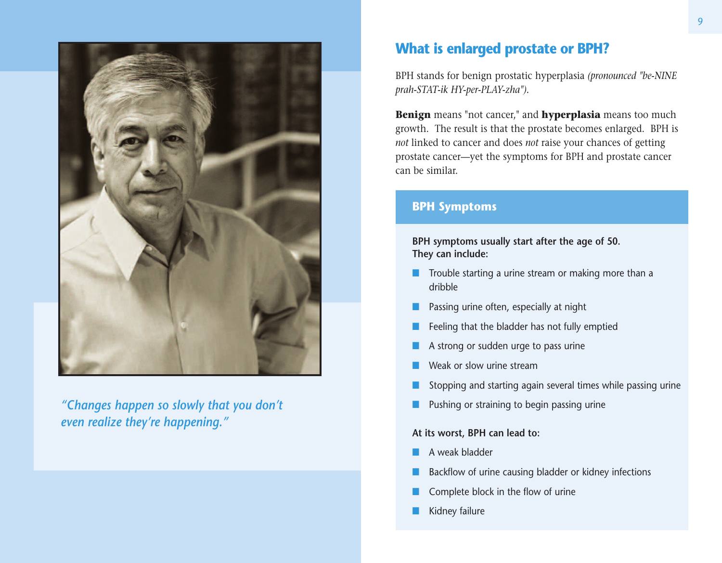

*"Changes happen so slowly that you don't even realize they're happening."*

### **What is enlarged prostate or BPH?**

BPH stands for benign prostatic hyperplasia *(pronounced "be-NINE prah-STAT-ik HY-per-PLAY-zha").* 

**Benign** means "not cancer," and **hyperplasia** means too much growth. The result is that the prostate becomes enlarged. BPH is *not* linked to cancer and does *not* raise your chances of getting prostate cancer—yet the symptoms for BPH and prostate cancer can be similar.

#### **BPH Symptoms**

**BPH symptoms usually start after the age of 50. They can include:**

- Trouble starting a urine stream or making more than a dribble
- Passing urine often, especially at night
- Feeling that the bladder has not fully emptied
- A strong or sudden urge to pass urine
- Weak or slow urine stream
- Stopping and starting again several times while passing urine
- Pushing or straining to begin passing urine

#### **At its worst, BPH can lead to:**

- A weak bladder
- Backflow of urine causing bladder or kidney infections
- Complete block in the flow of urine
- Kidney failure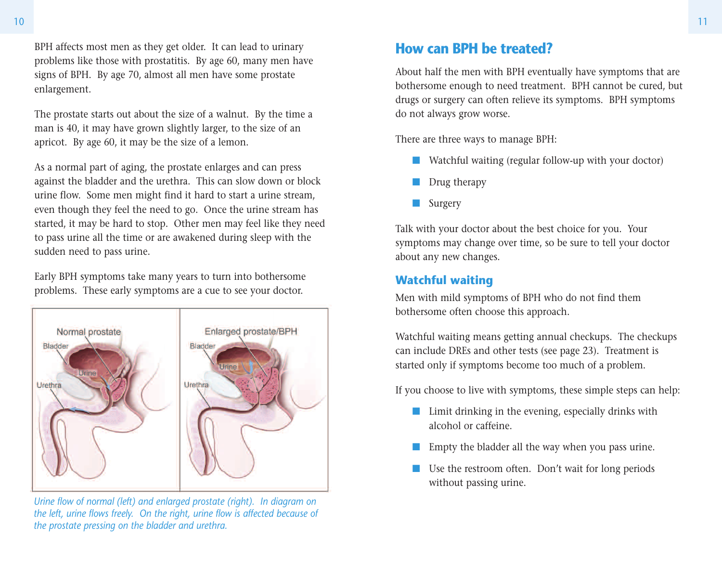BPH affects most men as they get older. It can lead to urinary problems like those with prostatitis. By age 60, many men have signs of BPH. By age 70, almost all men have some prostate enlargement.

The prostate starts out about the size of a walnut. By the time a man is 40, it may have grown slightly larger, to the size of an apricot. By age 60, it may be the size of a lemon.

As a normal part of aging, the prostate enlarges and can press against the bladder and the urethra. This can slow down or block urine flow. Some men might find it hard to start a urine stream, even though they feel the need to go. Once the urine stream has started, it may be hard to stop. Other men may feel like they need to pass urine all the time or are awakened during sleep with the sudden need to pass urine.

Early BPH symptoms take many years to turn into bothersome problems. These early symptoms are a cue to see your doctor.



*Urine flow of normal (left) and enlarged prostate (right). In diagram on the left, urine flows freely. On the right, urine flow is affected because of the prostate pressing on the bladder and urethra.*

### **How can BPH be treated?**

About half the men with BPH eventually have symptoms that are bothersome enough to need treatment. BPH cannot be cured, but drugs or surgery can often relieve its symptoms. BPH symptoms do not always grow worse.

There are three ways to manage BPH:

- Watchful waiting (regular follow-up with your doctor)
- Drug therapy
- Surgery

Talk with your doctor about the best choice for you. Your symptoms may change over time, so be sure to tell your doctor about any new changes.

#### **Watchful waiting**

Men with mild symptoms of BPH who do not find them bothersome often choose this approach.

Watchful waiting means getting annual checkups. The checkups can include DREs and other tests (see page 23). Treatment is started only if symptoms become too much of a problem.

If you choose to live with symptoms, these simple steps can help:

- Limit drinking in the evening, especially drinks with alcohol or caffeine.
- Empty the bladder all the way when you pass urine.
- Use the restroom often. Don't wait for long periods without passing urine.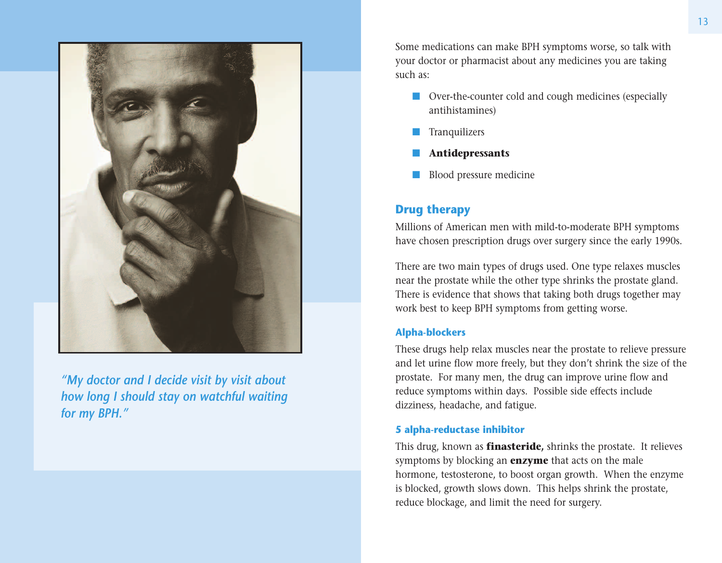

*"My doctor and I decide visit by visit about how long I should stay on watchful waiting for my BPH."*

Some medications can make BPH symptoms worse, so talk with your doctor or pharmacist about any medicines you are taking such as:

- Over-the-counter cold and cough medicines (especially antihistamines)
- **Tranquilizers**
- **Antidepressants**
- Blood pressure medicine

#### **Drug therapy**

Millions of American men with mild-to-moderate BPH symptoms have chosen prescription drugs over surgery since the early 1990s.

There are two main types of drugs used. One type relaxes muscles near the prostate while the other type shrinks the prostate gland. There is evidence that shows that taking both drugs together may work best to keep BPH symptoms from getting worse.

#### **Alpha-blockers**

These drugs help relax muscles near the prostate to relieve pressure and let urine flow more freely, but they don't shrink the size of the prostate. For many men, the drug can improve urine flow and reduce symptoms within days. Possible side effects include dizziness, headache, and fatigue.

#### **5 alpha-reductase inhibitor**

This drug, known as **finasteride,** shrinks the prostate. It relieves symptoms by blocking an **enzyme** that acts on the male hormone, testosterone, to boost organ growth. When the enzyme is blocked, growth slows down. This helps shrink the prostate, reduce blockage, and limit the need for surgery.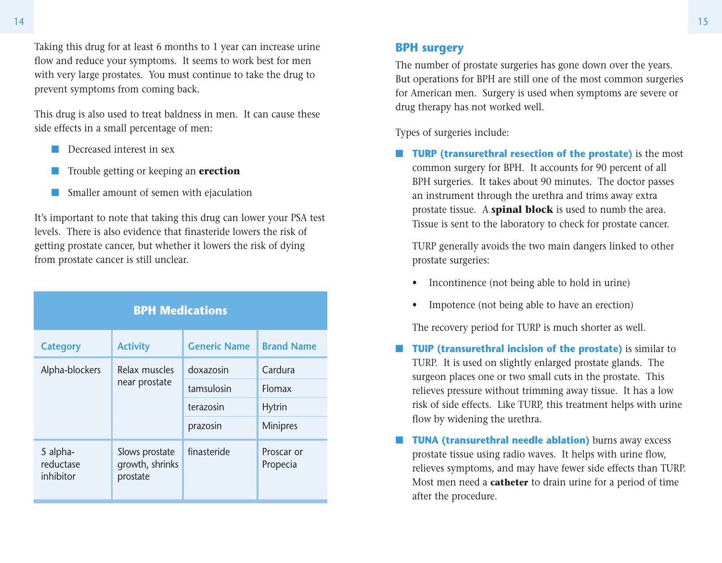This drug is also used to treat baldness in men. It can cause these side effects in a small percentage of men:

- Decreased interest in sex
- Trouble getting or keeping an **erection**
- Smaller amount of semen with ejaculation

It's important to note that taking this drug can lower your PSA test levels. There is also evidence that finasteride lowers the risk of getting prostate cancer, but whether it lowers the risk of dying from prostate cancer is still unclear.

| <b>BPH Medications</b>             |                                               |                     |                        |  |
|------------------------------------|-----------------------------------------------|---------------------|------------------------|--|
| <b>Category</b>                    | <b>Activity</b>                               | <b>Generic Name</b> | <b>Brand Name</b>      |  |
| Alpha-blockers                     | Relax muscles                                 | doxazosin           | Cardura                |  |
|                                    | near prostate                                 | tamsulosin          | <b>Flomax</b>          |  |
|                                    |                                               | terazosin           | <b>Hytrin</b>          |  |
|                                    |                                               | prazosin            | <b>Minipres</b>        |  |
| 5 alpha-<br>reductase<br>inhibitor | Slows prostate<br>growth, shrinks<br>prostate | finasteride         | Proscar or<br>Propecia |  |

### **BPH surgery**

The number of prostate surgeries has gone down over the years. But operations for BPH are still one of the most common surgeries for American men. Surgery is used when symptoms are severe or drug therapy has not worked well.

Types of surgeries include:

■ **TURP (transurethral resection of the prostate)** is the most common surgery for BPH. It accounts for 90 percent of all BPH surgeries. It takes about 90 minutes. The doctor passes an instrument through the urethra and trims away extra prostate tissue. A **spinal block** is used to numb the area. Tissue is sent to the laboratory to check for prostate cancer.

TURP generally avoids the two main dangers linked to other prostate surgeries:

- Incontinence (not being able to hold in urine)
- Impotence (not being able to have an erection)

The recovery period for TURP is much shorter as well.

- **TUIP (transurethral incision of the prostate)** is similar to TURP. It is used on slightly enlarged prostate glands. The surgeon places one or two small cuts in the prostate. This relieves pressure without trimming away tissue. It has a low risk of side effects. Like TURP, this treatment helps with urine flow by widening the urethra.
- **TUNA (transurethral needle ablation)** burns away excess prostate tissue using radio waves. It helps with urine flow, relieves symptoms, and may have fewer side effects than TURP. Most men need a **catheter** to drain urine for a period of time after the procedure.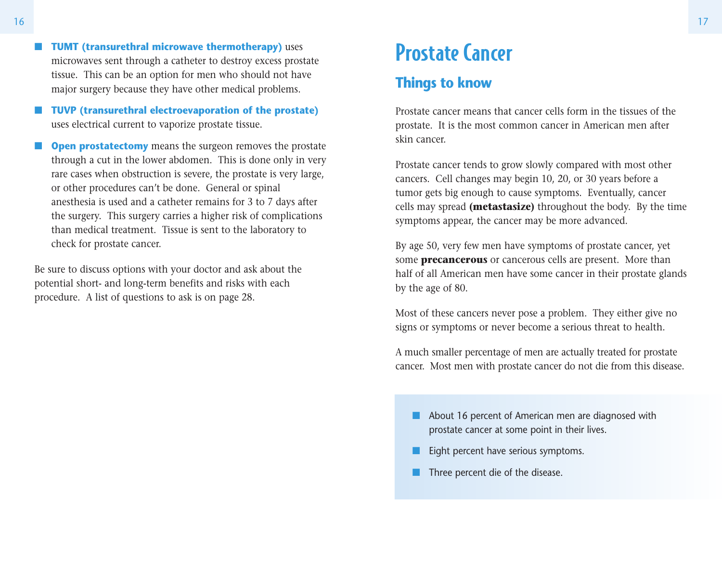- **TUMT (transurethral microwave thermotherapy)** uses microwaves sent through a catheter to destroy excess prostate tissue. This can be an option for men who should not have major surgery because they have other medical problems.
- **TUVP** (transurethral electroevaporation of the prostate) uses electrical current to vaporize prostate tissue.
- **E Open prostatectomy** means the surgeon removes the prostate through a cut in the lower abdomen. This is done only in very rare cases when obstruction is severe, the prostate is very large, or other procedures can't be done. General or spinal anesthesia is used and a catheter remains for 3 to 7 days after the surgery. This surgery carries a higher risk of complications than medical treatment. Tissue is sent to the laboratory to check for prostate cancer.

Be sure to discuss options with your doctor and ask about the potential short- and long-term benefits and risks with each procedure. A list of questions to ask is on page 28.

# Prostate Cancer

# **Things to know**

Prostate cancer means that cancer cells form in the tissues of the prostate. It is the most common cancer in American men after skin cancer.

Prostate cancer tends to grow slowly compared with most other cancers. Cell changes may begin 10, 20, or 30 years before a tumor gets big enough to cause symptoms. Eventually, cancer cells may spread **(metastasize)** throughout the body. By the time symptoms appear, the cancer may be more advanced.

By age 50, very few men have symptoms of prostate cancer, yet some **precancerous** or cancerous cells are present. More than half of all American men have some cancer in their prostate glands by the age of 80.

Most of these cancers never pose a problem. They either give no signs or symptoms or never become a serious threat to health.

A much smaller percentage of men are actually treated for prostate cancer. Most men with prostate cancer do not die from this disease.

- About 16 percent of American men are diagnosed with prostate cancer at some point in their lives.
- Eight percent have serious symptoms.
- Three percent die of the disease.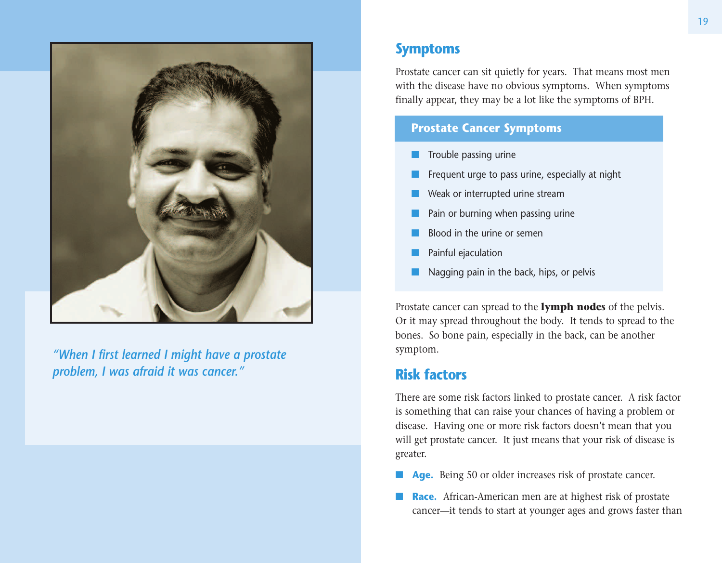

*"When I first learned I might have a prostate problem, I was afraid it was cancer."*

### **Symptoms**

Prostate cancer can sit quietly for years. That means most men with the disease have no obvious symptoms. When symptoms finally appear, they may be a lot like the symptoms of BPH.

#### **Prostate Cancer Symptoms**

- Trouble passing urine
- Frequent urge to pass urine, especially at night
- Weak or interrupted urine stream
- Pain or burning when passing urine
- Blood in the urine or semen
- Painful ejaculation
- Nagging pain in the back, hips, or pelvis

Prostate cancer can spread to the **lymph nodes** of the pelvis. Or it may spread throughout the body. It tends to spread to the bones. So bone pain, especially in the back, can be another symptom.

### **Risk factors**

There are some risk factors linked to prostate cancer. A risk factor is something that can raise your chances of having a problem or disease. Having one or more risk factors doesn't mean that you will get prostate cancer. It just means that your risk of disease is greater.

- **Age.** Being 50 or older increases risk of prostate cancer.
- **Race.** African-American men are at highest risk of prostate cancer—it tends to start at younger ages and grows faster than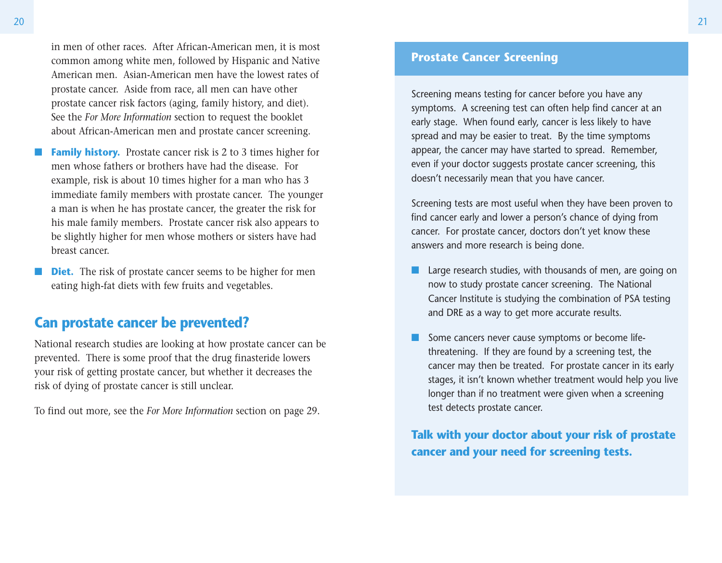in men of other races. After African-American men, it is most common among white men, followed by Hispanic and Native American men. Asian-American men have the lowest rates of prostate cancer. Aside from race, all men can have other prostate cancer risk factors (aging, family history, and diet). See the *For More Information* section to request the booklet about African-American men and prostate cancer screening.

- **Family history.** Prostate cancer risk is 2 to 3 times higher for men whose fathers or brothers have had the disease. For example, risk is about 10 times higher for a man who has 3 immediate family members with prostate cancer. The younger a man is when he has prostate cancer, the greater the risk for his male family members. Prostate cancer risk also appears to be slightly higher for men whose mothers or sisters have had breast cancer.
- **Diet.** The risk of prostate cancer seems to be higher for men eating high-fat diets with few fruits and vegetables.

### **Can prostate cancer be prevented?**

National research studies are looking at how prostate cancer can be prevented. There is some proof that the drug finasteride lowers your risk of getting prostate cancer, but whether it decreases the risk of dying of prostate cancer is still unclear.

To find out more, see the *For More Information* section on page 29.

#### **Prostate Cancer Screening**

Screening means testing for cancer before you have any symptoms. A screening test can often help find cancer at an early stage. When found early, cancer is less likely to have spread and may be easier to treat. By the time symptoms appear, the cancer may have started to spread. Remember, even if your doctor suggests prostate cancer screening, this doesn't necessarily mean that you have cancer.

Screening tests are most useful when they have been proven to find cancer early and lower a person's chance of dying from cancer. For prostate cancer, doctors don't yet know these answers and more research is being done.

- Large research studies, with thousands of men, are going on now to study prostate cancer screening. The National Cancer Institute is studying the combination of PSA testing and DRE as a way to get more accurate results.
- Some cancers never cause symptoms or become lifethreatening. If they are found by a screening test, the cancer may then be treated. For prostate cancer in its early stages, it isn't known whether treatment would help you live longer than if no treatment were given when a screening test detects prostate cancer.

**Talk with your doctor about your risk of prostate cancer and your need for screening tests.**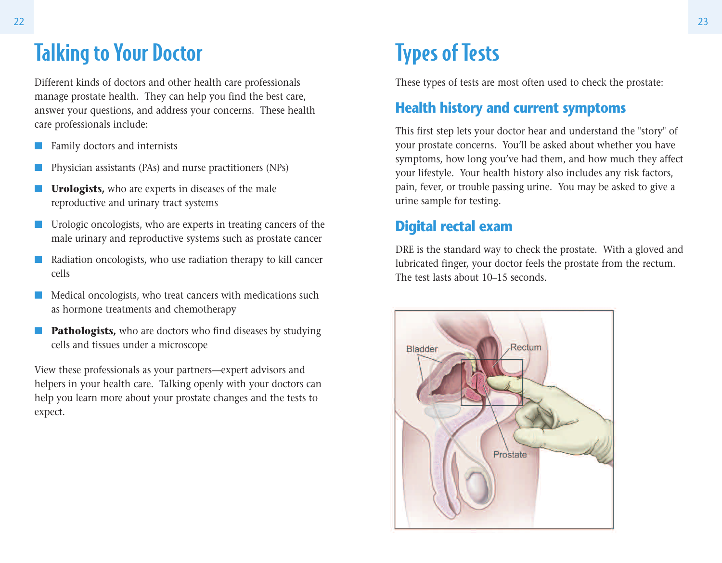# Talking to Your Doctor

Different kinds of doctors and other health care professionals manage prostate health. They can help you find the best care, answer your questions, and address your concerns. These health care professionals include:

- Family doctors and internists
- Physician assistants (PAs) and nurse practitioners (NPs)
- Urologists, who are experts in diseases of the male reproductive and urinary tract systems
- Urologic oncologists, who are experts in treating cancers of the male urinary and reproductive systems such as prostate cancer
- Radiation oncologists, who use radiation therapy to kill cancer cells
- Medical oncologists, who treat cancers with medications such as hormone treatments and chemotherapy
- **Pathologists**, who are doctors who find diseases by studying cells and tissues under a microscope

View these professionals as your partners—expert advisors and helpers in your health care. Talking openly with your doctors can help you learn more about your prostate changes and the tests to expect.

# Types of Tests

These types of tests are most often used to check the prostate:

# **Health history and current symptoms**

This first step lets your doctor hear and understand the "story" of your prostate concerns. You'll be asked about whether you have symptoms, how long you've had them, and how much they affect your lifestyle. Your health history also includes any risk factors, pain, fever, or trouble passing urine. You may be asked to give a urine sample for testing.

# **Digital rectal exam**

DRE is the standard way to check the prostate. With a gloved and lubricated finger, your doctor feels the prostate from the rectum. The test lasts about 10–15 seconds.

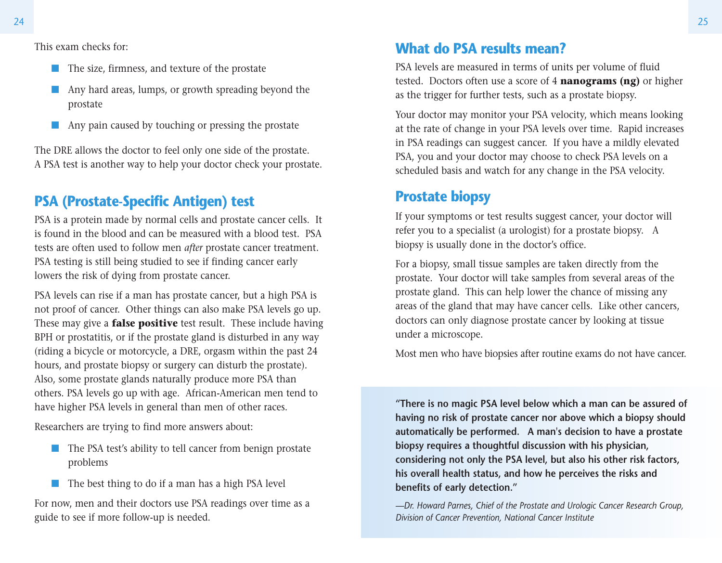This exam checks for:

- The size, firmness, and texture of the prostate
- Any hard areas, lumps, or growth spreading beyond the prostate
- Any pain caused by touching or pressing the prostate

The DRE allows the doctor to feel only one side of the prostate. A PSA test is another way to help your doctor check your prostate.

# **PSA (Prostate-Specific Antigen) test**

PSA is a protein made by normal cells and prostate cancer cells. It is found in the blood and can be measured with a blood test. PSA tests are often used to follow men *after* prostate cancer treatment. PSA testing is still being studied to see if finding cancer early lowers the risk of dying from prostate cancer.

PSA levels can rise if a man has prostate cancer, but a high PSA is not proof of cancer. Other things can also make PSA levels go up. These may give a **false positive** test result. These include having BPH or prostatitis, or if the prostate gland is disturbed in any way (riding a bicycle or motorcycle, a DRE, orgasm within the past 24 hours, and prostate biopsy or surgery can disturb the prostate). Also, some prostate glands naturally produce more PSA than others. PSA levels go up with age. African-American men tend to have higher PSA levels in general than men of other races.

Researchers are trying to find more answers about:

- The PSA test's ability to tell cancer from benign prostate problems
- The best thing to do if a man has a high PSA level

For now, men and their doctors use PSA readings over time as a guide to see if more follow-up is needed.

# **What do PSA results mean?**

PSA levels are measured in terms of units per volume of fluid tested. Doctors often use a score of 4 **nanograms (ng)** or higher as the trigger for further tests, such as a prostate biopsy.

Your doctor may monitor your PSA velocity, which means looking at the rate of change in your PSA levels over time. Rapid increases in PSA readings can suggest cancer. If you have a mildly elevated PSA, you and your doctor may choose to check PSA levels on a scheduled basis and watch for any change in the PSA velocity.

# **Prostate biopsy**

If your symptoms or test results suggest cancer, your doctor will refer you to a specialist (a urologist) for a prostate biopsy. A biopsy is usually done in the doctor's office.

For a biopsy, small tissue samples are taken directly from the prostate. Your doctor will take samples from several areas of the prostate gland. This can help lower the chance of missing any areas of the gland that may have cancer cells. Like other cancers, doctors can only diagnose prostate cancer by looking at tissue under a microscope.

Most men who have biopsies after routine exams do not have cancer.

**"There is no magic PSA level below which a man can be assured of having no risk of prostate cancer nor above which a biopsy should automatically be performed. A man's decision to have a prostate biopsy requires a thoughtful discussion with his physician, considering not only the PSA level, but also his other risk factors, his overall health status, and how he perceives the risks and benefits of early detection."** 

*—Dr. Howard Parnes, Chief of the Prostate and Urologic Cancer Research Group, Division of Cancer Prevention, National Cancer Institute*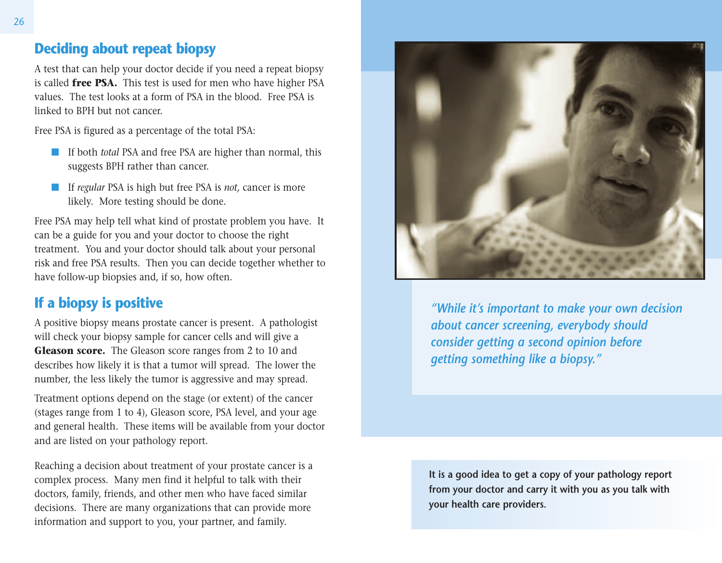# **Deciding about repeat biopsy**

A test that can help your doctor decide if you need a repeat biopsy is called **free PSA.** This test is used for men who have higher PSA values. The test looks at a form of PSA in the blood. Free PSA is linked to BPH but not cancer.

Free PSA is figured as a percentage of the total PSA:

- If both *total* PSA and free PSA are higher than normal, this suggests BPH rather than cancer.
- If *regular* PSA is high but free PSA is *not*, cancer is more likely. More testing should be done.

Free PSA may help tell what kind of prostate problem you have. It can be a guide for you and your doctor to choose the right treatment. You and your doctor should talk about your personal risk and free PSA results. Then you can decide together whether to have follow-up biopsies and, if so, how often.

# **If a biopsy is positive**

A positive biopsy means prostate cancer is present. A pathologist will check your biopsy sample for cancer cells and will give a **Gleason score.** The Gleason score ranges from 2 to 10 and describes how likely it is that a tumor will spread. The lower the number, the less likely the tumor is aggressive and may spread.

Treatment options depend on the stage (or extent) of the cancer (stages range from 1 to 4), Gleason score, PSA level, and your age and general health. These items will be available from your doctor and are listed on your pathology report.

Reaching a decision about treatment of your prostate cancer is a complex process. Many men find it helpful to talk with their doctors, family, friends, and other men who have faced similar decisions. There are many organizations that can provide more information and support to you, your partner, and family.



*"While it's important to make your own decision about cancer screening, everybody should consider getting a second opinion before getting something like a biopsy."*

**It is a good idea to get a copy of your pathology report from your doctor and carry it with you as you talk with your health care providers.**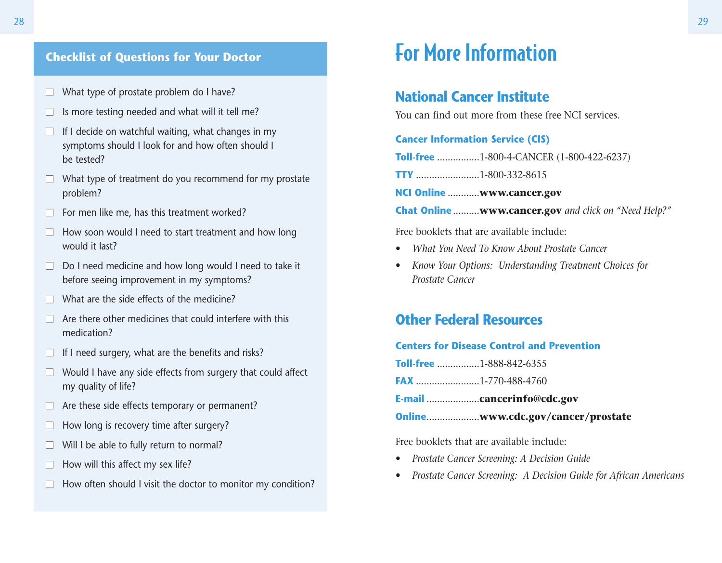#### **Checklist of Questions for Your Doctor**

- $\Box$  What type of prostate problem do I have?
- Is more testing needed and what will it tell me?
- $\Box$  If I decide on watchful waiting, what changes in my symptoms should I look for and how often should I be tested?
- $\Box$  What type of treatment do you recommend for my prostate problem?
- $\Box$  For men like me, has this treatment worked?
- $\Box$  How soon would I need to start treatment and how long would it last?
- $\Box$  Do I need medicine and how long would I need to take it before seeing improvement in my symptoms?
- $\Box$  What are the side effects of the medicine?
- $\Box$  Are there other medicines that could interfere with this medication?
- $\Box$  If I need surgery, what are the benefits and risks?
- $\Box$  Would I have any side effects from surgery that could affect my quality of life?
- $\Box$  Are these side effects temporary or permanent?
- $\Box$  How long is recovery time after surgery?
- $\Box$  Will I be able to fully return to normal?
- $\Box$  How will this affect my sex life?
- $\Box$  How often should I visit the doctor to monitor my condition?

# For More Information

### **National Cancer Institute**

You can find out more from these free NCI services.

#### **Cancer Information Service (CIS)**

**Toll-free** ................1-800-4-CANCER (1-800-422-6237)

**TTY** ........................1-800-332-8615

**NCI Online** ............**www.cancer.gov**

**Chat Online** ..........**www.cancer.gov** *and click on "Need Help?"*

Free booklets that are available include:

- *What You Need To Know About Prostate Cancer*
- *Know Your Options: Understanding Treatment Choices for Prostate Cancer*

### **Other Federal Resources**

#### **Centers for Disease Control and Prevention**

| <b>Toll-free</b> 1-888-842-6355 |  |
|---------------------------------|--|
|---------------------------------|--|

**FAX** ........................1-770-488-4760

**E-mail** ....................**cancerinfo@cdc.gov**

**Online**....................**www.cdc.gov/cancer/prostate** 

Free booklets that are available include:

- *Prostate Cancer Screening: A Decision Guide*
- *Prostate Cancer Screening: A Decision Guide for African Americans*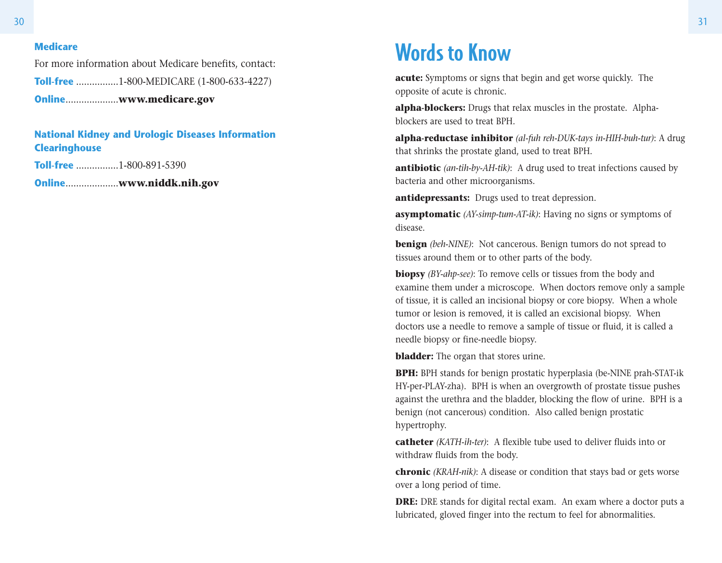#### **Medicare**

For more information about Medicare benefits, contact:

**Toll-free** ................1-800-MEDICARE (1-800-633-4227)

**Online**....................**www.medicare.gov**

#### **National Kidney and Urologic Diseases Information Clearinghouse**

**Toll-free** ................1-800-891-5390

**Online**....................**www.niddk.nih.gov**

# Words to Know

**acute:** Symptoms or signs that begin and get worse quickly. The opposite of acute is chronic.

**alpha-blockers:** Drugs that relax muscles in the prostate. Alphablockers are used to treat BPH.

**alpha-reductase inhibitor** *(al-fuh reh-DUK-tays in-HIH-buh-tur)*: A drug that shrinks the prostate gland, used to treat BPH.

**antibiotic** *(an-tih-by-AH-tik)*: A drug used to treat infections caused by bacteria and other microorganisms.

**antidepressants:** Drugs used to treat depression.

**asymptomatic** *(AY-simp-tum-AT-ik)*: Having no signs or symptoms of disease.

**benign** *(beh-NINE)*: Not cancerous. Benign tumors do not spread to tissues around them or to other parts of the body.

**biopsy** *(BY-ahp-see)*: To remove cells or tissues from the body and examine them under a microscope. When doctors remove only a sample of tissue, it is called an incisional biopsy or core biopsy. When a whole tumor or lesion is removed, it is called an excisional biopsy. When doctors use a needle to remove a sample of tissue or fluid, it is called a needle biopsy or fine-needle biopsy.

**bladder:** The organ that stores urine.

**BPH:** BPH stands for benign prostatic hyperplasia (be-NINE prah-STAT-ik HY-per-PLAY-zha). BPH is when an overgrowth of prostate tissue pushes against the urethra and the bladder, blocking the flow of urine. BPH is a benign (not cancerous) condition. Also called benign prostatic hypertrophy.

**catheter** *(KATH-ih-ter)*: A flexible tube used to deliver fluids into or withdraw fluids from the body.

**chronic** *(KRAH-nik)*: A disease or condition that stays bad or gets worse over a long period of time.

**DRE:** DRE stands for digital rectal exam. An exam where a doctor puts a lubricated, gloved finger into the rectum to feel for abnormalities.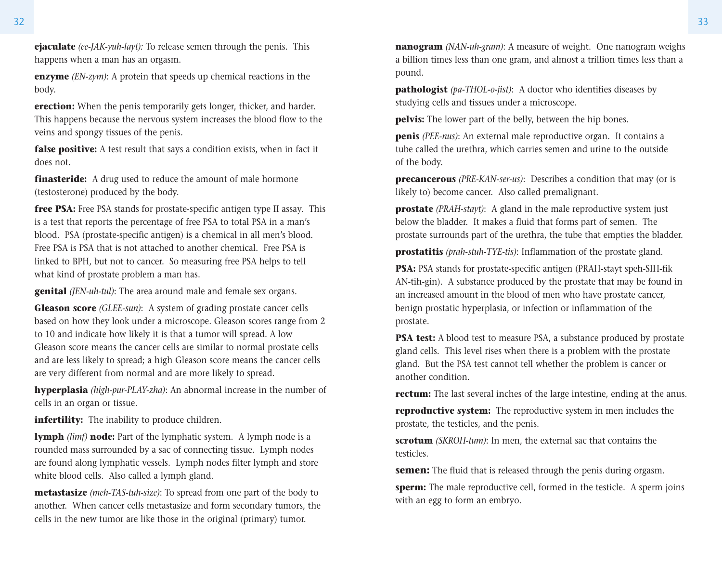**ejaculate** *(ee-JAK-yuh-layt):* To release semen through the penis. This happens when a man has an orgasm.

**enzyme** *(EN-zym)*: A protein that speeds up chemical reactions in the body.

**erection:** When the penis temporarily gets longer, thicker, and harder. This happens because the nervous system increases the blood flow to the veins and spongy tissues of the penis.

**false positive:** A test result that says a condition exists, when in fact it does not.

**finasteride:** A drug used to reduce the amount of male hormone (testosterone) produced by the body.

**free PSA:** Free PSA stands for prostate-specific antigen type II assay. This is a test that reports the percentage of free PSA to total PSA in a man's blood. PSA (prostate-specific antigen) is a chemical in all men's blood. Free PSA is PSA that is not attached to another chemical. Free PSA is linked to BPH, but not to cancer. So measuring free PSA helps to tell what kind of prostate problem a man has.

**genital** *(JEN-uh-tul)*: The area around male and female sex organs.

**Gleason score** *(GLEE-sun)*: A system of grading prostate cancer cells based on how they look under a microscope. Gleason scores range from 2 to 10 and indicate how likely it is that a tumor will spread. A low Gleason score means the cancer cells are similar to normal prostate cells and are less likely to spread; a high Gleason score means the cancer cells are very different from normal and are more likely to spread.

**hyperplasia** *(high-pur-PLAY-zha)*: An abnormal increase in the number of cells in an organ or tissue.

**infertility:** The inability to produce children.

**lymph** *(limf)* **node:** Part of the lymphatic system. A lymph node is a rounded mass surrounded by a sac of connecting tissue. Lymph nodes are found along lymphatic vessels. Lymph nodes filter lymph and store white blood cells. Also called a lymph gland.

**metastasize** *(meh-TAS-tuh-size)*: To spread from one part of the body to another. When cancer cells metastasize and form secondary tumors, the cells in the new tumor are like those in the original (primary) tumor.

**nanogram** *(NAN-uh-gram)*: A measure of weight. One nanogram weighs a billion times less than one gram, and almost a trillion times less than a pound.

**pathologist** *(pa-THOL-o-jist)*: A doctor who identifies diseases by studying cells and tissues under a microscope.

**pelvis:** The lower part of the belly, between the hip bones.

**penis** *(PEE-nus)*: An external male reproductive organ. It contains a tube called the urethra, which carries semen and urine to the outside of the body.

**precancerous** *(PRE-KAN-ser-us)*: Describes a condition that may (or is likely to) become cancer. Also called premalignant.

**prostate** *(PRAH-stayt)*: A gland in the male reproductive system just below the bladder. It makes a fluid that forms part of semen. The prostate surrounds part of the urethra, the tube that empties the bladder.

**prostatitis** *(prah-stuh-TYE-tis)*: Inflammation of the prostate gland.

**PSA:** PSA stands for prostate-specific antigen (PRAH-stayt speh-SIH-fik AN-tih-gin). A substance produced by the prostate that may be found in an increased amount in the blood of men who have prostate cancer, benign prostatic hyperplasia, or infection or inflammation of the prostate.

**PSA test:** A blood test to measure PSA, a substance produced by prostate gland cells. This level rises when there is a problem with the prostate gland. But the PSA test cannot tell whether the problem is cancer or another condition.

**rectum:** The last several inches of the large intestine, ending at the anus.

**reproductive system:** The reproductive system in men includes the prostate, the testicles, and the penis.

**scrotum** *(SKROH-tum)*: In men, the external sac that contains the testicles.

**semen:** The fluid that is released through the penis during orgasm.

**sperm:** The male reproductive cell, formed in the testicle. A sperm joins with an egg to form an embryo.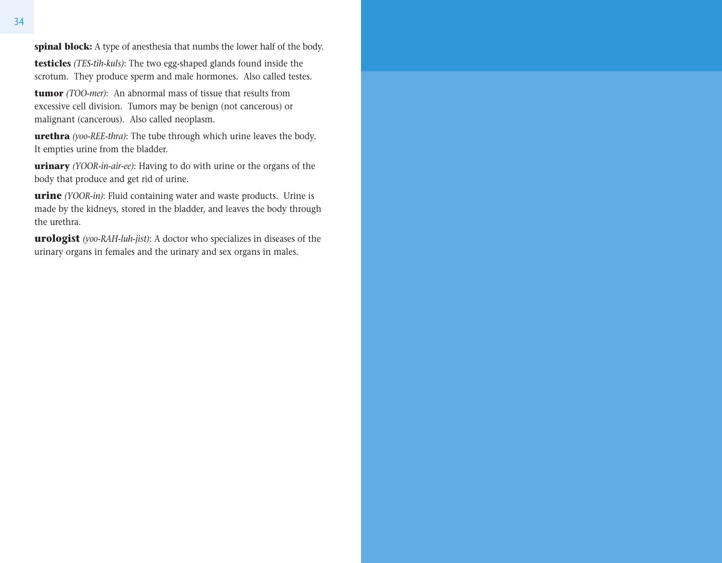**spinal block:** A type of anesthesia that numbs the lower half of the body.

**testicles** *(TES-tih-kuls)*: The two egg-shaped glands found inside the scrotum. They produce sperm and male hormones. Also called testes.

**tumor** *(TOO-mer)*: An abnormal mass of tissue that results from excessive cell division. Tumors may be benign (not cancerous) or malignant (cancerous). Also called neoplasm.

**urethra** *(yoo-REE-thra)*: The tube through which urine leaves the body. It empties urine from the bladder.

**urinary** *(YOOR-in-air-ee)*: Having to do with urine or the organs of the body that produce and get rid of urine.

**urine** *(YOOR-in)*: Fluid containing water and waste products. Urine is made by the kidneys, stored in the bladder, and leaves the body through the urethra.

**urologist** *(yoo-RAH-luh-jist)*: A doctor who specializes in diseases of the urinary organs in females and the urinary and sex organs in males.